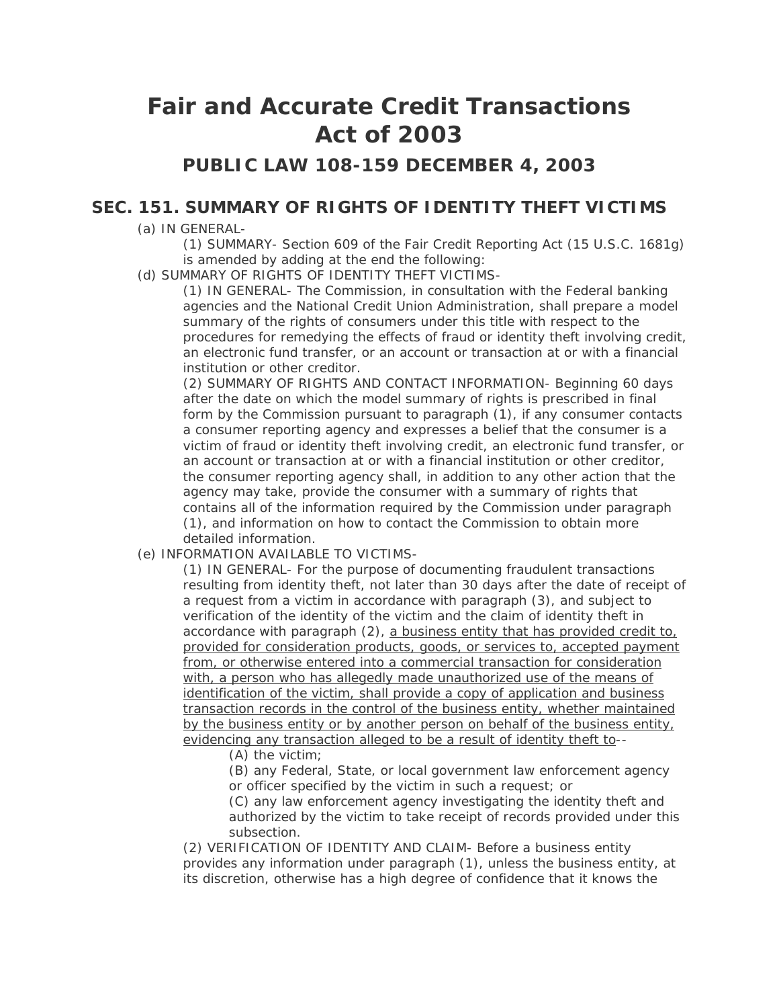## **Fair and Accurate Credit Transactions Act of 2003**

## **PUBLIC LAW 108-159 DECEMBER 4, 2003**

## **SEC. 151. SUMMARY OF RIGHTS OF IDENTITY THEFT VICTIMS**

- (a) IN GENERAL-
	- (1) SUMMARY- Section 609 of the Fair Credit Reporting Act (15 U.S.C. 1681g) is amended by adding at the end the following:
- (d) SUMMARY OF RIGHTS OF IDENTITY THEFT VICTIMS-

(1) IN GENERAL- The Commission, in consultation with the Federal banking agencies and the National Credit Union Administration, shall prepare a model summary of the rights of consumers under this title with respect to the procedures for remedying the effects of fraud or identity theft involving credit, an electronic fund transfer, or an account or transaction at or with a financial institution or other creditor.

(2) SUMMARY OF RIGHTS AND CONTACT INFORMATION- Beginning 60 days after the date on which the model summary of rights is prescribed in final form by the Commission pursuant to paragraph (1), if any consumer contacts a consumer reporting agency and expresses a belief that the consumer is a victim of fraud or identity theft involving credit, an electronic fund transfer, or an account or transaction at or with a financial institution or other creditor, the consumer reporting agency shall, in addition to any other action that the agency may take, provide the consumer with a summary of rights that contains all of the information required by the Commission under paragraph (1), and information on how to contact the Commission to obtain more detailed information.

## (e) INFORMATION AVAILABLE TO VICTIMS-

(1) IN GENERAL- For the purpose of documenting fraudulent transactions resulting from identity theft, not later than 30 days after the date of receipt of a request from a victim in accordance with paragraph (3), and subject to verification of the identity of the victim and the claim of identity theft in accordance with paragraph (2), a business entity that has provided credit to, provided for consideration products, goods, or services to, accepted payment from, or otherwise entered into a commercial transaction for consideration with, a person who has allegedly made unauthorized use of the means of identification of the victim, shall provide a copy of application and business transaction records in the control of the business entity, whether maintained by the business entity or by another person on behalf of the business entity, evidencing any transaction alleged to be a result of identity theft to--

(A) the victim;

(B) any Federal, State, or local government law enforcement agency or officer specified by the victim in such a request; or

(C) any law enforcement agency investigating the identity theft and authorized by the victim to take receipt of records provided under this subsection.

(2) VERIFICATION OF IDENTITY AND CLAIM- Before a business entity provides any information under paragraph (1), unless the business entity, at its discretion, otherwise has a high degree of confidence that it knows the